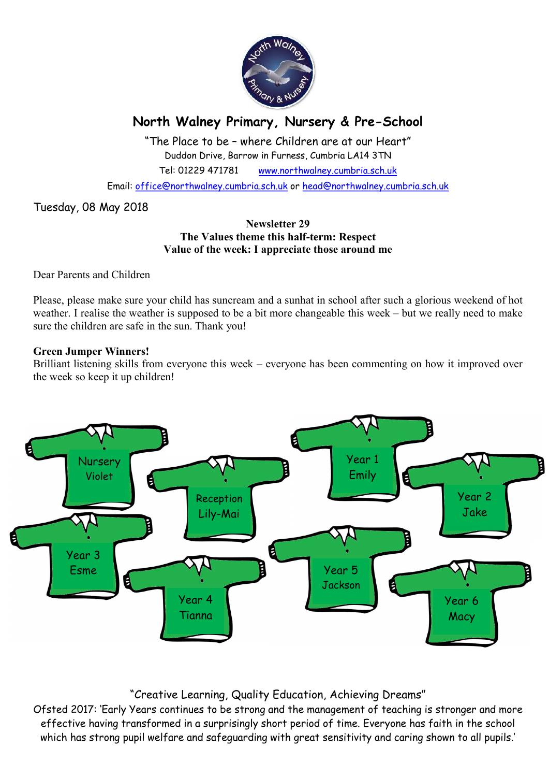

# North Walney Primary, Nursery & Pre-School

"The Place to be – where Children are at our Heart" Duddon Drive, Barrow in Furness, Cumbria LA14 3TN Tel: 01229 471781 www.northwalney.cumbria.sch.uk

Email: office@northwalney.cumbria.sch.uk or head@northwalney.cumbria.sch.uk

Tuesday, 08 May 2018

## Newsletter 29 The Values theme this half-term: Respect Value of the week: I appreciate those around me

Dear Parents and Children

Please, please make sure your child has suncream and a sunhat in school after such a glorious weekend of hot weather. I realise the weather is supposed to be a bit more changeable this week – but we really need to make sure the children are safe in the sun. Thank you!

## Green Jumper Winners!

Brilliant listening skills from everyone this week – everyone has been commenting on how it improved over the week so keep it up children!



## "Creative Learning, Quality Education, Achieving Dreams"

Ofsted 2017: 'Early Years continues to be strong and the management of teaching is stronger and more effective having transformed in a surprisingly short period of time. Everyone has faith in the school which has strong pupil welfare and safeguarding with great sensitivity and caring shown to all pupils.'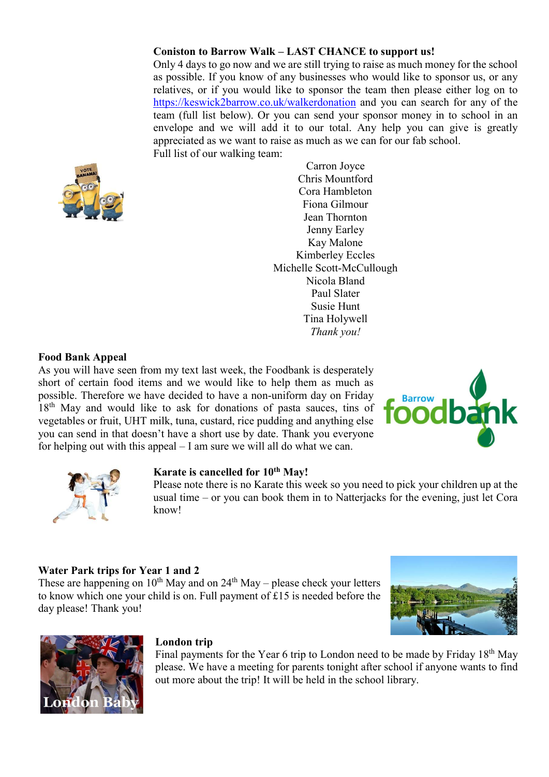## Coniston to Barrow Walk – LAST CHANCE to support us!

Only 4 days to go now and we are still trying to raise as much money for the school as possible. If you know of any businesses who would like to sponsor us, or any relatives, or if you would like to sponsor the team then please either log on to https://keswick2barrow.co.uk/walkerdonation and you can search for any of the team (full list below). Or you can send your sponsor money in to school in an envelope and we will add it to our total. Any help you can give is greatly appreciated as we want to raise as much as we can for our fab school. Full list of our walking team:



Carron Joyce Chris Mountford Cora Hambleton Fiona Gilmour Jean Thornton Jenny Earley Kay Malone Kimberley Eccles Michelle Scott-McCullough Nicola Bland Paul Slater Susie Hunt Tina Holywell Thank you!

## Food Bank Appeal

As you will have seen from my text last week, the Foodbank is desperately short of certain food items and we would like to help them as much as possible. Therefore we have decided to have a non-uniform day on Friday 18<sup>th</sup> May and would like to ask for donations of pasta sauces, tins of vegetables or fruit, UHT milk, tuna, custard, rice pudding and anything else you can send in that doesn't have a short use by date. Thank you everyone for helping out with this appeal – I am sure we will all do what we can.





#### Karate is cancelled for 10<sup>th</sup> May!

Please note there is no Karate this week so you need to pick your children up at the usual time – or you can book them in to Natterjacks for the evening, just let Cora know!

## Water Park trips for Year 1 and 2

These are happening on  $10^{th}$  May and on  $24^{th}$  May – please check your letters to know which one your child is on. Full payment of £15 is needed before the day please! Thank you!





## London trip

Final payments for the Year 6 trip to London need to be made by Friday 18<sup>th</sup> May please. We have a meeting for parents tonight after school if anyone wants to find out more about the trip! It will be held in the school library.